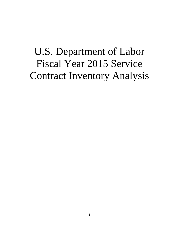# U.S. Department of Labor Fiscal Year 2015 Service Contract Inventory Analysis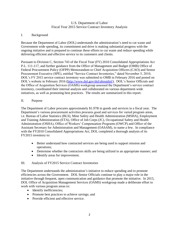# U.S. Department of Labor Fiscal Year 2015 Service Contract Inventory Analysis

#### I. Background

Because the Department of Labor (DOL) understands the administration's need to cut waste and Government wide spending, its commitment and drive is making substantial progress with the ongoing initiative and is prepared to continue these efforts to cut waste and reduce spending while delivering efficient and effective service to its customers and clients.

Pursuant to Division C, Section 743 of the Fiscal Year (FY) 2010 Consolidated Appropriations Act P.L. 111-117, and further guidance from the Office of Management and Budget (OMB) Office of Federal Procurement Policy (OFPP) Memorandum to Chief Acquisition Officers (CAO) and Senior Procurement Executive (SPE), entitled "Service Contract Inventories," dated November 5, 2010, DOL's FY 2015 service contract inventory was submitted to OMB in February 2016 and posted on DOL's website in February 2016 [\(http://www.dol.gov/d](http://www.dol.gov/)ol/aboutdol/). DOL's Senior Officials and the Office of Acquisition Services (OAMS) workgroup assessed the Department's service contract inventory, coordinated their internal analysis and collaborated on various department-wide initiatives, as well as promoting best practices. The results are summarized in this report.

#### II. Purpose

The Department of Labor procures approximately \$1.97B in goods and services in a fiscal year. The Department's various procurement activities procures good and services for varied program areas, i.e. Bureau of Labor Statistics (BLS), Mine Safety and Health Administration (MSHA), Employment and Training Administration (ETA), Office of Job Corps (JC), Occupational Safety and Health Administration (OSHA), Office of Workers' Compensation Programs (OWCP) and Office of the Assistant Secretary for Administration and Management (OASAM), to name a few. In compliance with the FY2010 Consolidated Appropriations Act, DOL completed a thorough analysis of its FY2015 inventory to:

- Better understand how contracted services are being used to support mission and operations;
- Determine whether the contractors skills are being utilized in an appropriate manner; and
- Identify areas for improvement.

#### III. Analysis of FY2015 Service Contract Inventories

The Department understands the administration's initiative to reduce spending and to promote efficiencies across the Government. DOL Senior Officials continue to play a major role in the initiative through frequent, open communication and guidance that promote the initiative. In 2015, DOL Office of Acquisition Management Services (OAMS) workgroup made a deliberate effort to work with various program areas to:

- Identify inefficiencies;
- Promote best practices to achieve savings; and
- Provide efficient and effective service.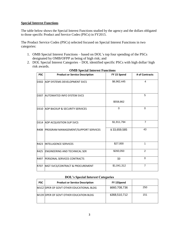#### **Special Interest Functions**

The table below shows the Special Interest Functions studied by the agency and the dollars obligated to those specific Product and Service Codes (PSCs) in FY2015.

The Product Service Codes (PSCs) selected focused on Special Interest Functions in two categories:

- 1. OMB Special Interest Functions based on DOL's top four spending of the PSCs designated by OMB/OFPP as being of high risk; and
- 2. DOL Special Interest Categories DOL identified specific PSCs with high dollar/ high risk awards.

| <b>PSC</b> | <b>Product or Service Description</b>          | FY 15 Spend  | # of Contracts |
|------------|------------------------------------------------|--------------|----------------|
| D302       | <b>ADP SYSTEMS DEVELOPMENT SVCS</b>            | \$6,962,445  | 4              |
|            | D307 AUTOMATED INFO SYSTEM SVCS                | \$558,862    | 5              |
|            |                                                |              |                |
|            | <b>D310 ADP BACKUP &amp; SECURITY SERVICES</b> | $\Omega$     | $\Omega$       |
|            | D314 ADP ACQUISITION SUP SVCS                  | \$1,911,794  | $\overline{7}$ |
| R408       | PROGRAM MANAGEMENT/SUPPORT SERVICES            | \$33,659,585 | 43             |
| R423       | <b>INTELLIGENCE SERVICES</b>                   | \$27,000     | 1              |
| R425       | <b>ENGINEERING AND TECHNICAL SER</b>           | \$260,050    | 2              |
| R497       | <b>PERSONAL SERVICES CONTRACTS</b>             | \$0          | 0              |
| R707       | MGT SVCS/CONTRACT & PROCUREMENT                | \$1,041,312  | $\overline{7}$ |

#### **OMB Special Interest Functions**

#### **DOL's Special Interest Categories**

| <b>PSC</b> | <b>Product or Service Description</b>      | FY 15Spend    |     |
|------------|--------------------------------------------|---------------|-----|
|            | IM1CZ IOPER OF GOVT OTHER EDUCATIONAL BLDG | \$660,708,736 | 250 |
|            | IM139 IOPER OF GOVT OTHER EDUCATION BLDG   | \$368,510,712 | 151 |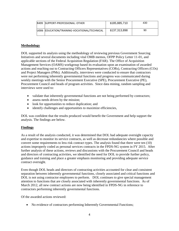| R499 SUPPORT-PROFESSIONAL: OTHER             | \$185,885,710 | 430 |
|----------------------------------------------|---------------|-----|
| U006 EDUCATION/TRAINING-VOCATIONAL/TECHNICAL | \$137,313,898 | 90  |

#### **Methodology**

DOL supported its analysis using the methodology of reviewing previous Government Sourcing Initiatives and several documents including vital OMB memos, OFPP Policy Letter 11-01, and applicable sections of the Federal Acquisition Regulation (FAR). The Office of Acquisition Management Services (OAMS) workgroup based its evaluation upon an examination of awarded actions and reaching out to Contracting Officers Representatives (CORs), Contracting Officers (COs) and Project Managers (PMs). Additionally, interviews were conducted to ensure that contractors were not performing inherently governmental functions and progress was communicated during weekly meetings with the Senior Procurement Executive (SPE), Procurement Executive (PE), Procurement Council and heads of program activities. Since data mining, random sampling and interviews were used to:

- validate that inherently governmental functions are not being performed by contractors;
- assess needs driven by the mission;
- look for opportunities to reduce duplication; and
- identify challenges and opportunities to maximize efficiencies,

DOL was confident that the results produced would benefit the Government and help support the analysis. The findings are below.

# **Findings**

As a result of the analysis conducted, it was determined that DOL had adequate oversight capacity and expertise to monitor its service contracts, as well as decrease redundancies where possible and convert some requirements to less risk contract types. The analysis found that there were ten (10) actions improperly coded as personal services contracts in the FPDS-NG system in FY 2015. After further analysis of these actions, reviews and discussions with the Procurement Council and heads and directors of contracting activities, we identified the need for DOL to provide further policy, guidance and training and place a greater emphasis monitoring and providing adequate service contract oversight.

Even though DOL heads and directors of contracting activities accounted for clear and consistent separation between inherently governmental functions, closely associated and critical functions and DOL is not using contractor employees to perform. DOL continues to give special management attention to functions that are closely associated with inherently governmental functions. As of March 2012, all new contract actions are now being identified in FPDS-NG in reference to contractors performing inherently governmental functions.

Of the awarded actions reviewed:

• No evidence of contractors performing Inherently Governmental Functions;